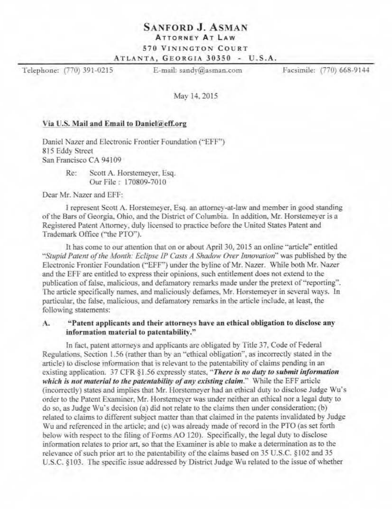# **SANFORD J. ASMAN**

## **ATTORNEY AT LAW**

### 570 VININGTON COURT

ATLANTA, GEORGIA 30350 - U.S.A.

Telephone: (770) 391-0215

E-mail: sandv@asman.com

Facsimile: (770) 668-9144

May 14, 2015

### Via U.S. Mail and Email to Daniel@eff.org

Daniel Nazer and Electronic Frontier Foundation ("EFF") 815 Eddy Street San Francisco CA 94109

> Re: Scott A. Horstemever, Esq. Our File: 170809-7010

Dear Mr. Nazer and EFF:

I represent Scott A. Horstemeyer, Esq. an attorney-at-law and member in good standing of the Bars of Georgia, Ohio, and the District of Columbia. In addition, Mr. Horstemeyer is a Registered Patent Attorney, duly licensed to practice before the United States Patent and Trademark Office ("the PTO").

It has come to our attention that on or about April 30, 2015 an online "article" entitled "Stupid Patent of the Month: Eclipse IP Casts A Shadow Over Innovation" was published by the Electronic Frontier Foundation ("EFF") under the byline of Mr. Nazer. While both Mr. Nazer and the EFF are entitled to express their opinions, such entitlement does not extend to the publication of false, malicious, and defamatory remarks made under the pretext of "reporting". The article specifically names, and maliciously defames, Mr. Horstemeyer in several ways. In particular, the false, malicious, and defamatory remarks in the article include, at least, the following statements:

#### "Patent applicants and their attorneys have an ethical obligation to disclose any  $A$ . information material to patentability."

In fact, patent attorneys and applicants are obligated by Title 37, Code of Federal Regulations, Section 1.56 (rather than by an "ethical obligation", as incorrectly stated in the article) to disclose information that is relevant to the patentability of claims pending in an existing application. 37 CFR §1.56 expressly states, "There is no duty to submit information which is not material to the patentability of any existing claim." While the EFF article (incorrectly) states and implies that Mr. Horstemeyer had an ethical duty to disclose Judge Wu's order to the Patent Examiner, Mr. Horstemeyer was under neither an ethical nor a legal duty to do so, as Judge Wu's decision (a) did not relate to the claims then under consideration; (b) related to claims to different subject matter than that claimed in the patents invalidated by Judge Wu and referenced in the article; and (c) was already made of record in the PTO (as set forth below with respect to the filing of Forms AO 120). Specifically, the legal duty to disclose information relates to prior art, so that the Examiner is able to make a determination as to the relevance of such prior art to the patentability of the claims based on 35 U.S.C. §102 and 35 U.S.C. §103. The specific issue addressed by District Judge Wu related to the issue of whether